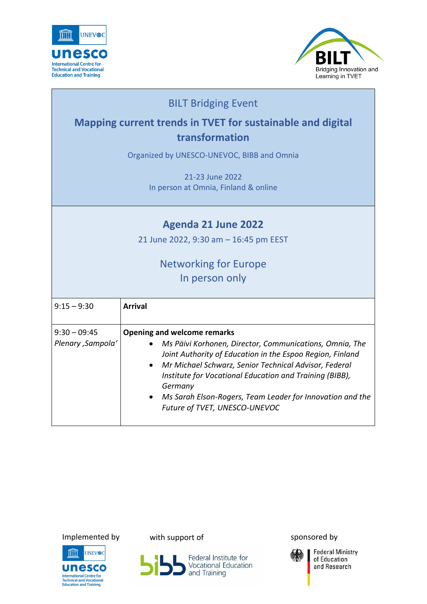



## BILT Bridging Event

## **Mapping current trends in TVET for sustainable and digital transformation**

Organized by UNESCO-UNEVOC, BIBB and Omnia

21-23 June 2022 In person at Omnia, Finland & online

## **Agenda 21 June 2022**

21 June 2022, 9:30 am – 16:45 pm EEST

## Networking for Europe In person only

| $9:15 - 9:30$                        | <b>Arrival</b>                                                                                                                                                                                                                                                                                                                                                                              |
|--------------------------------------|---------------------------------------------------------------------------------------------------------------------------------------------------------------------------------------------------------------------------------------------------------------------------------------------------------------------------------------------------------------------------------------------|
| $9:30 - 09:45$<br>Plenary , Sampola' | <b>Opening and welcome remarks</b><br>Ms Päivi Korhonen, Director, Communications, Omnia, The<br>Joint Authority of Education in the Espoo Region, Finland<br>• Mr Michael Schwarz, Senior Technical Advisor, Federal<br>Institute for Vocational Education and Training (BIBB),<br>Germany<br>• Ms Sarah Elson-Rogers, Team Leader for Innovation and the<br>Future of TVET, UNESCO-UNEVOC |

Implemented by with support of sponsored by sponsored by





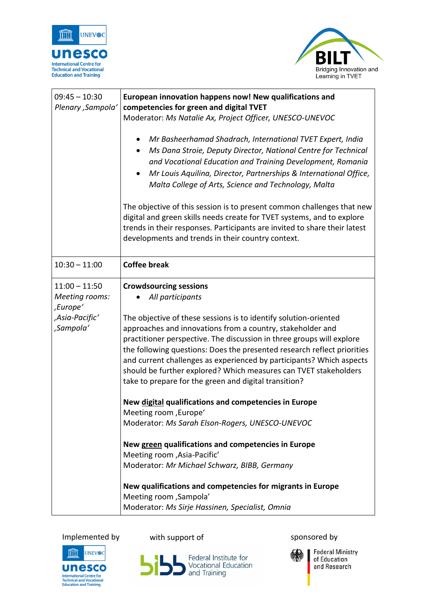



| $09:45 - 10:30$<br>Plenary , Sampola'                                                    | European innovation happens now! New qualifications and<br>competencies for green and digital TVET<br>Moderator: Ms Natalie Ax, Project Officer, UNESCO-UNEVOC                                                                                                                                                                                                                                                                                                                                                                                                                                                                                                                                                                                                                                                            |
|------------------------------------------------------------------------------------------|---------------------------------------------------------------------------------------------------------------------------------------------------------------------------------------------------------------------------------------------------------------------------------------------------------------------------------------------------------------------------------------------------------------------------------------------------------------------------------------------------------------------------------------------------------------------------------------------------------------------------------------------------------------------------------------------------------------------------------------------------------------------------------------------------------------------------|
|                                                                                          | Mr Basheerhamad Shadrach, International TVET Expert, India<br>$\bullet$<br>Ms Dana Stroie, Deputy Director, National Centre for Technical<br>$\bullet$<br>and Vocational Education and Training Development, Romania<br>Mr Louis Aquilina, Director, Partnerships & International Office,<br>Malta College of Arts, Science and Technology, Malta                                                                                                                                                                                                                                                                                                                                                                                                                                                                         |
|                                                                                          | The objective of this session is to present common challenges that new<br>digital and green skills needs create for TVET systems, and to explore<br>trends in their responses. Participants are invited to share their latest<br>developments and trends in their country context.                                                                                                                                                                                                                                                                                                                                                                                                                                                                                                                                        |
| $10:30 - 11:00$                                                                          | <b>Coffee break</b>                                                                                                                                                                                                                                                                                                                                                                                                                                                                                                                                                                                                                                                                                                                                                                                                       |
| $11:00 - 11:50$<br>Meeting rooms:<br>,Europe <sup>'</sup><br>Asia-Pacific',<br>,Sampola' | <b>Crowdsourcing sessions</b><br>All participants<br>The objective of these sessions is to identify solution-oriented<br>approaches and innovations from a country, stakeholder and<br>practitioner perspective. The discussion in three groups will explore<br>the following questions: Does the presented research reflect priorities<br>and current challenges as experienced by participants? Which aspects<br>should be further explored? Which measures can TVET stakeholders<br>take to prepare for the green and digital transition?<br>New digital qualifications and competencies in Europe<br>Meeting room , Europe'<br>Moderator: Ms Sarah Elson-Rogers, UNESCO-UNEVOC<br>New green qualifications and competencies in Europe<br>Meeting room , Asia-Pacific'<br>Moderator: Mr Michael Schwarz, BIBB, Germany |
|                                                                                          | New qualifications and competencies for migrants in Europe<br>Meeting room , Sampola'<br>Moderator: Ms Sirje Hassinen, Specialist, Omnia                                                                                                                                                                                                                                                                                                                                                                                                                                                                                                                                                                                                                                                                                  |

Implemented by with support of sponsored by sponsored by





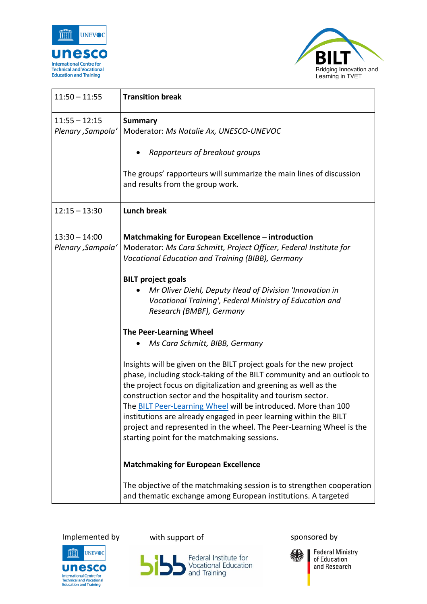



| $11:50 - 11:55$                       | <b>Transition break</b>                                                                                                                                                                                                                                                                                                                                                                                                                                                                                                                               |
|---------------------------------------|-------------------------------------------------------------------------------------------------------------------------------------------------------------------------------------------------------------------------------------------------------------------------------------------------------------------------------------------------------------------------------------------------------------------------------------------------------------------------------------------------------------------------------------------------------|
| $11:55 - 12:15$<br>Plenary , Sampola' | <b>Summary</b><br>Moderator: Ms Natalie Ax, UNESCO-UNEVOC<br>Rapporteurs of breakout groups<br>The groups' rapporteurs will summarize the main lines of discussion                                                                                                                                                                                                                                                                                                                                                                                    |
|                                       | and results from the group work.                                                                                                                                                                                                                                                                                                                                                                                                                                                                                                                      |
| $12:15 - 13:30$                       | <b>Lunch break</b>                                                                                                                                                                                                                                                                                                                                                                                                                                                                                                                                    |
| $13:30 - 14:00$<br>Plenary , Sampola' | Matchmaking for European Excellence - introduction<br>Moderator: Ms Cara Schmitt, Project Officer, Federal Institute for<br>Vocational Education and Training (BIBB), Germany                                                                                                                                                                                                                                                                                                                                                                         |
|                                       | <b>BILT project goals</b><br>Mr Oliver Diehl, Deputy Head of Division 'Innovation in<br>Vocational Training', Federal Ministry of Education and<br>Research (BMBF), Germany                                                                                                                                                                                                                                                                                                                                                                           |
|                                       | <b>The Peer-Learning Wheel</b><br>Ms Cara Schmitt, BIBB, Germany                                                                                                                                                                                                                                                                                                                                                                                                                                                                                      |
|                                       | Insights will be given on the BILT project goals for the new project<br>phase, including stock-taking of the BILT community and an outlook to<br>the project focus on digitalization and greening as well as the<br>construction sector and the hospitality and tourism sector.<br>The <b>BILT Peer-Learning Wheel</b> will be introduced. More than 100<br>institutions are already engaged in peer learning within the BILT<br>project and represented in the wheel. The Peer-Learning Wheel is the<br>starting point for the matchmaking sessions. |
|                                       | <b>Matchmaking for European Excellence</b>                                                                                                                                                                                                                                                                                                                                                                                                                                                                                                            |
|                                       | The objective of the matchmaking session is to strengthen cooperation<br>and thematic exchange among European institutions. A targeted                                                                                                                                                                                                                                                                                                                                                                                                                |



m **UNEVOC unesco International Centre for<br>Technical and Vocational<br>Education and Training** 





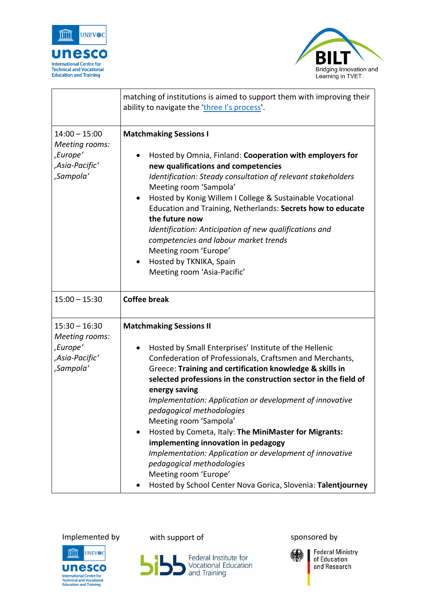



|                                                                              | matching of institutions is aimed to support them with improving their<br>ability to navigate the 'three I's process'.                                                                                                                                                                                                                                                                                                                                                                                                                                                                                                                                                                                    |
|------------------------------------------------------------------------------|-----------------------------------------------------------------------------------------------------------------------------------------------------------------------------------------------------------------------------------------------------------------------------------------------------------------------------------------------------------------------------------------------------------------------------------------------------------------------------------------------------------------------------------------------------------------------------------------------------------------------------------------------------------------------------------------------------------|
| $14:00 - 15:00$<br>Meeting rooms:<br>,Europe'<br>Asia-Pacific'<br>,Sampola'  | <b>Matchmaking Sessions I</b><br>Hosted by Omnia, Finland: Cooperation with employers for<br>$\bullet$<br>new qualifications and competencies<br>Identification: Steady consultation of relevant stakeholders<br>Meeting room 'Sampola'<br>Hosted by Konig Willem I College & Sustainable Vocational<br>$\bullet$<br>Education and Training, Netherlands: Secrets how to educate<br>the future now<br>Identification: Anticipation of new qualifications and<br>competencies and labour market trends<br>Meeting room 'Europe'<br>Hosted by TKNIKA, Spain<br>Meeting room 'Asia-Pacific'                                                                                                                  |
| $15:00 - 15:30$                                                              | <b>Coffee break</b>                                                                                                                                                                                                                                                                                                                                                                                                                                                                                                                                                                                                                                                                                       |
| $15:30 - 16:30$<br>Meeting rooms:<br>,Europe'<br>Asia-Pacific',<br>,Sampola' | <b>Matchmaking Sessions II</b><br>Hosted by Small Enterprises' Institute of the Hellenic<br>Confederation of Professionals, Craftsmen and Merchants,<br>Greece: Training and certification knowledge & skills in<br>selected professions in the construction sector in the field of<br>energy saving<br>Implementation: Application or development of innovative<br>pedagogical methodologies<br>Meeting room 'Sampola'<br>Hosted by Cometa, Italy: The MiniMaster for Migrants:<br>implementing innovation in pedagogy<br>Implementation: Application or development of innovative<br>pedagogical methodologies<br>Meeting room 'Europe'<br>Hosted by School Center Nova Gorica, Slovenia: Talentjourney |

Implemented by with support of sponsored by sponsored by